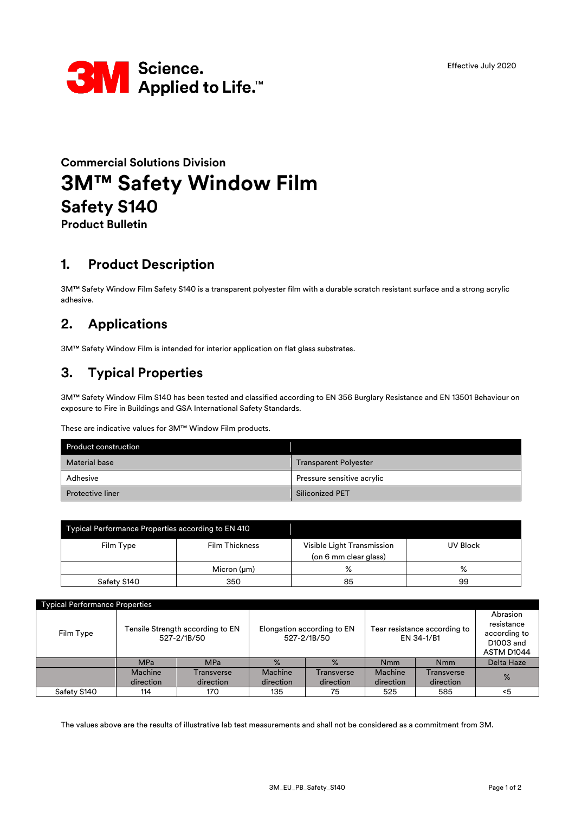

# **Commercial Solutions Division 3M™ Safety Window Film Safety S140**

**Product Bulletin**

### **1. Product Description**

3M™ Safety Window Film Safety S140 is a transparent polyester film with a durable scratch resistant surface and a strong acrylic adhesive.

## **2. Applications**

3M™ Safety Window Film is intended for interior application on flat glass substrates.

### **3. Typical Properties**

3M™ Safety Window Film S140 has been tested and classified according to EN 356 Burglary Resistance and EN 13501 Behaviour on exposure to Fire in Buildings and GSA International Safety Standards.

These are indicative values for 3M™ Window Film products.

| <b>Product construction</b> |                              |  |
|-----------------------------|------------------------------|--|
| <b>Material base</b>        | <b>Transparent Polyester</b> |  |
| Adhesive                    | Pressure sensitive acrylic   |  |
| <b>Protective liner</b>     | Siliconized PET              |  |

| Typical Performance Properties according to EN 410 |                       |                                                     |          |  |  |
|----------------------------------------------------|-----------------------|-----------------------------------------------------|----------|--|--|
| Film Type                                          | <b>Film Thickness</b> | Visible Light Transmission<br>(on 6 mm clear glass) | UV Block |  |  |
|                                                    | Micron $(\mu m)$      | ℅                                                   | %        |  |  |
| Safety S140                                        | 350                   | 85                                                  | 99       |  |  |

| <b>Typical Performance Properties</b> |                                                 |            |                                           |            |                                            |            |                                                                   |
|---------------------------------------|-------------------------------------------------|------------|-------------------------------------------|------------|--------------------------------------------|------------|-------------------------------------------------------------------|
| Film Type                             | Tensile Strength according to EN<br>527-2/1B/50 |            | Elongation according to EN<br>527-2/1B/50 |            | Tear resistance according to<br>EN 34-1/B1 |            | Abrasion<br>resistance<br>according to<br>D1003 and<br>ASTM D1044 |
|                                       | <b>MPa</b>                                      | <b>MPa</b> | $\%$                                      | $\%$       | <b>Nmm</b>                                 | <b>Nmm</b> | <b>Delta Haze</b>                                                 |
|                                       | Machine                                         | Transverse | Machine                                   | Transverse | Machine                                    | Transverse | $\%$                                                              |
|                                       | direction                                       | direction  | direction                                 | direction  | direction                                  | direction  |                                                                   |
| Safety S140                           | 114                                             | 170        | 135                                       | 75         | 525                                        | 585        | <5                                                                |

The values above are the results of illustrative lab test measurements and shall not be considered as a commitment from 3M.